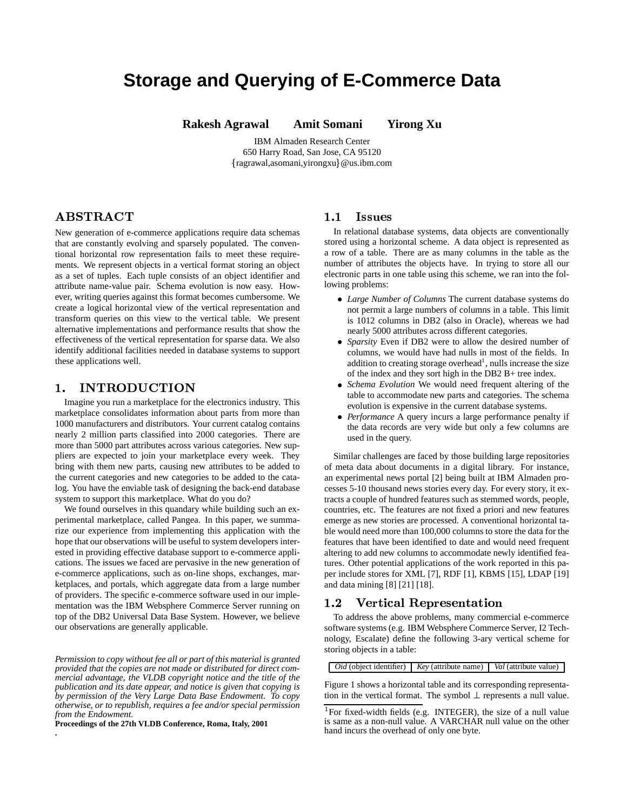# **Storage and Querying of E-Commerce Data**

**Rakesh Agrawal Amit Somani Yirong Xu**

IBM Almaden Research Center 650 Harry Road, San Jose, CA 95120 ragrawal,asomani,yirongxu @us.ibm.com

# - -

New generation of e-commerce applications require data schemas that are constantly evolving and sparsely populated. The conventional horizontal row representation fails to meet these requirements. We represent objects in a vertical format storing an object as a set of tuples. Each tuple consists of an object identifier and attribute name-value pair. Schema evolution is now easy. However, writing queries against this format becomes cumbersome. We create a logical horizontal view of the vertical representation and transform queries on this view to the vertical table. We present alternative implementations and performance results that show the effectiveness of the vertical representation for sparse data. We also identify additional facilities needed in database systems to support these applications well.

# 

Imagine you run a marketplace for the electronics industry. This marketplace consolidates information about parts from more than 1000 manufacturers and distributors. Your current catalog contains nearly 2 million parts classified into 2000 categories. There are more than 5000 part attributes across various categories. New suppliers are expected to join your marketplace every week. They bring with them new parts, causing new attributes to be added to the current categories and new categories to be added to the catalog. You have the enviable task of designing the back-end database system to support this marketplace. What do you do?

We found ourselves in this quandary while building such an experimental marketplace, called Pangea. In this paper, we summarize our experience from implementing this application with the hope that our observations will be useful to system developers interested in providing effective database support to e-commerce applications. The issues we faced are pervasive in the new generation of e-commerce applications, such as on-line shops, exchanges, marketplaces, and portals, which aggregate data from a large number of providers. The specific e-commerce software used in our implementation was the IBM Websphere Commerce Server running on top of the DB2 Universal Data Base System. However, we believe our observations are generally applicable.

*Permission to copy without fee all or part of this material is granted provided that the copies are not made or distributed for direct commercial advantage, the VLDB copyright notice and the title of the publication and its date appear, and notice is given that copying is by permission of the Very Large Data Base Endowment. To copy otherwise, or to republish, requires a fee and/or special permission from the Endowment.*

**Proceedings of the 27th VLDB Conference, Roma, Italy, 2001**

**.**

# 1.1 Issues

In relational database systems, data objects are conventionally stored using a horizontal scheme. A data object is represented as a row of a table. There are as many columns in the table as the number of attributes the objects have. In trying to store all our electronic parts in one table using this scheme, we ran into the following problems:

- ! *Large Number of Columns* The current database systems do not permit a large numbers of columns in a table. This limit is 1012 columns in DB2 (also in Oracle), whereas we had nearly 5000 attributes across different categories.
- ! *Sparsity* Even if DB2 were to allow the desired number of columns, we would have had nulls in most of the fields. In addition to creating storage overhead<sup>1</sup>, nulls increase the size of the index and they sort high in the DB2 B+ tree index.
- ! *Schema Evolution* We would need frequent altering of the table to accommodate new parts and categories. The schema evolution is expensive in the current database systems.
- Performance A query incurs a large performance penalty if the data records are very wide but only a few columns are used in the query.

Similar challenges are faced by those building large repositories of meta data about documents in a digital library. For instance, an experimental news portal [2] being built at IBM Almaden processes 5-10 thousand news stories every day. For every story, it extracts a couple of hundred features such as stemmed words, people, countries, etc. The features are not fixed a priori and new features emerge as new stories are processed. A conventional horizontal table would need more than 100,000 columns to store the data for the features that have been identified to date and would need frequent altering to add new columns to accommodate newly identified features. Other potential applications of the work reported in this paper include stores for XML [7], RDF [1], KBMS [15], LDAP [19] and data mining [8] [21] [18].

# 1.2 Vertical Representation

To address the above problems, many commercial e-commerce software systems (e.g. IBM Websphere Commerce Server, I2 Technology, Escalate) define the following 3-ary vertical scheme for storing objects in a table:

*Oid* (object identifier) *Key* (attribute name) *Val* (attribute value)

Figure 1 shows a horizontal table and its corresponding representation in the vertical format. The symbol  $\perp$  represents a null value.

<sup>&</sup>lt;sup>1</sup>For fixed-width fields (e.g. INTEGER), the size of a null value is same as a non-null value. A VARCHAR null value on the other hand incurs the overhead of only one byte.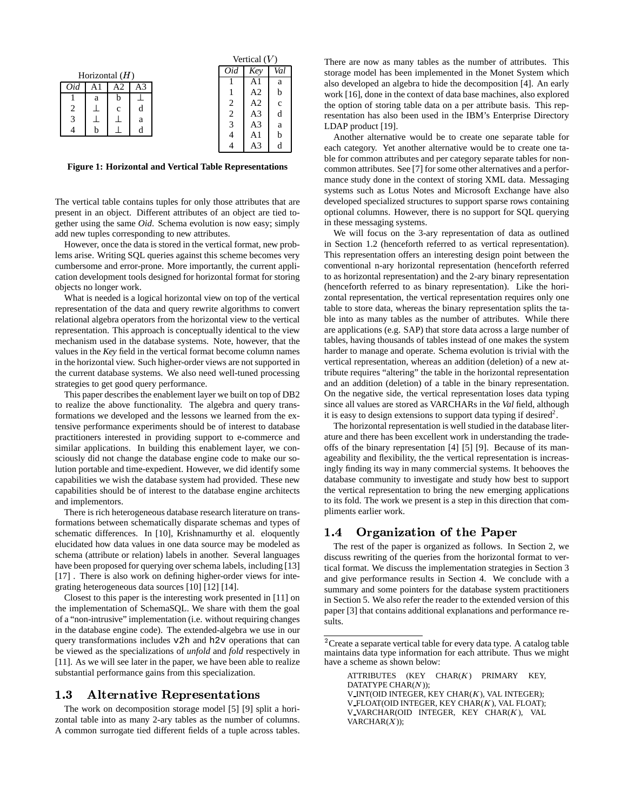|  |              |              |                                  | vertical $(V)$ |     |              |
|--|--------------|--------------|----------------------------------|----------------|-----|--------------|
|  |              |              |                                  |                | Key | Val          |
|  |              |              |                                  |                | Al  | a            |
|  |              |              |                                  |                | A2  | h            |
|  |              |              |                                  |                | A2  | $\mathbf{c}$ |
|  |              |              |                                  | $\overline{c}$ | A3  |              |
|  |              |              |                                  | 3              | A3  | a            |
|  |              |              |                                  |                |     | h            |
|  |              |              |                                  |                | A3  |              |
|  | Al<br>a<br>h | А2<br>h<br>C | Horizontal $(H)$<br>A3<br>d<br>a |                | 0id | A1           |

 $\lambda$  vertical (

**Figure 1: Horizontal and Vertical Table Representations**

The vertical table contains tuples for only those attributes that are present in an object. Different attributes of an object are tied together using the same *Oid*. Schema evolution is now easy; simply add new tuples corresponding to new attributes.

However, once the data is stored in the vertical format, new problems arise. Writing SQL queries against this scheme becomes very cumbersome and error-prone. More importantly, the current application development tools designed for horizontal format for storing objects no longer work.

What is needed is a logical horizontal view on top of the vertical representation of the data and query rewrite algorithms to convert relational algebra operators from the horizontal view to the vertical representation. This approach is conceptually identical to the view mechanism used in the database systems. Note, however, that the values in the *Key* field in the vertical format become column names in the horizontal view. Such higher-order views are notsupported in the current database systems. We also need well-tuned processing strategies to get good query performance.

This paper describes the enablement layer we built on top of DB2 to realize the above functionality. The algebra and query transformations we developed and the lessons we learned from the extensive performance experiments should be of interest to database practitioners interested in providing support to e-commerce and similar applications. In building this enablement layer, we consciously did not change the database engine code to make our solution portable and time-expedient. However, we did identify some capabilities we wish the database system had provided. These new capabilities should be of interest to the database engine architects and implementors.

There is rich heterogeneous database research literature on transformations between schematically disparate schemas and types of schematic differences. In [10], Krishnamurthy et al. eloquently elucidated how data values in one data source may be modeled as schema (attribute or relation) labels in another. Several languages have been proposed for querying over schema labels, including [13] [17]. There is also work on defining higher-order views for integrating heterogeneous data sources [10] [12] [14].

Closest to this paper is the interesting work presented in [11] on the implementation of SchemaSQL. We share with them the goal of a "non-intrusive" implementation (i.e. without requiring changes in the database engine code). The extended-algebra we use in our query transformations includes v2h and h2v operations that can be viewed as the specializations of *unfold* and *fold* respectively in [11]. As we will see later in the paper, we have been able to realize substantial performance gains from this specialization.

### >= -/#(5'&?3@-A()\*#B 01&)2 34(5-6()\*#783

The work on decomposition storage model [5] [9] split a horizontal table into as many 2-ary tables as the number of columns. A common surrogate tied different fields of a tuple across tables.

There are now as many tables as the number of attributes. This storage model has been implemented in the Monet System which also developed an algebra to hide the decomposition [4]. An early work [16], done in the context of data base machines, also explored the option of storing table data on a per attribute basis. This representation has also been used in the IBM's Enterprise Directory LDAP product [19].

Another alternative would be to create one separate table for each category. Yet another alternative would be to create one table for common attributes and per category separate tables for noncommon attributes. See [7] for some other alternatives and a performance study done in the context of storing XML data. Messaging systems such as Lotus Notes and Microsoft Exchange have also developed specialized structures to support sparse rows containing optional columns. However, there is no support for SQL querying in these messaging systems.

We will focus on the 3-ary representation of data as outlined in Section 1.2 (henceforth referred to as vertical representation). This representation offers an interesting design point between the conventional n-ary horizontal representation (henceforth referred to as horizontal representation) and the 2-ary binary representation (henceforth referred to as binary representation). Like the horizontal representation, the vertical representation requires only one table to store data, whereas the binary representation splits the table into as many tables as the number of attributes. While there are applications (e.g. SAP) that store data across a large number of tables, having thousands of tables instead of one makes the system harder to manage and operate. Schema evolution is trivial with the vertical representation, whereas an addition (deletion) of a new attribute requires "altering" the table in the horizontal representation and an addition (deletion) of a table in the binary representation. On the negative side, the vertical representation loses data typing since all values are stored as VARCHARs in the *Val* field, although it is easy to design extensions to support data typing if desired<sup>2</sup>.

The horizontal representation is well studied in the database literature and there has been excellent work in understanding the tradeoffs of the binary representation [4] [5] [9]. Because of its manageability and flexibility, the the vertical representation is increasingly finding its way in many commercial systems. It behooves the database community to investigate and study how best to support the vertical representation to bring the new emerging applications to its fold. The work we present is a step in this direction that compliments earlier work.

# 1.4 Organization of the Paper

The rest of the paper is organized as follows. In Section 2, we discuss rewriting of the queries from the horizontal format to vertical format. We discuss the implementation strategies in Section 3 and give performance results in Section 4. We conclude with a summary and some pointers for the database system practitioners in Section 5. We also refer the reader to the extended version of this paper [3] that contains additional explanations and performance results.

ATTRIBUTES (KEY  $CHAR(K)$  PRIMARY KEY, DATATYPE  $CHAR(N)$ ; V\_INT(OID INTEGER, KEY CHAR $(K)$ , VAL INTEGER); V\_FLOAT(OID INTEGER, KEY CHAR $(K)$ , VAL FLOAT); V VARCHAR(OID INTEGER, KEY CHAR $(K)$ , VAL  $VARCHAR(X)$ ;

 ${}^{2}$ Create a separate vertical table for every data type. A catalog table maintains data type information for each attribute. Thus we might have a scheme as shown below: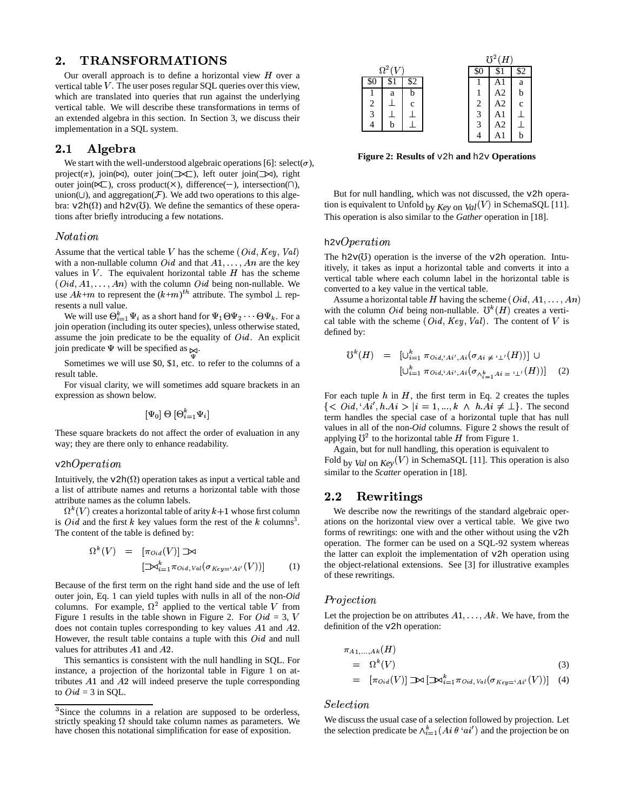# "8 -TU VW-X

Our overall approach is to define a horizontal view  $H$  over a vertical table  $V$ . The user poses regular SQL queries over this view, which are translated into queries that run against the underlying vertical table. We will describe these transformations in terms of an extended algebra in this section. In Section 3, we discuss their implementation in a SQL system.

# "8, -/,E Y&F-

We start with the well-understood algebraic operations [6]: select( $\sigma$ ), project( $\pi$ ), join( $\bowtie$ ), outer join( $\blacktriangleright$  $\blacktriangleright$ ), left outer join( $\blacktriangleright$  $\bowtie$ ), right outer join( $\ltimes\subset$ ), cross product( $\times$ ), difference(-), intersection( $\cap$ ), union( $\cup$ ), and aggregation( $\mathcal F$ ). We add two operations to this algebra:  $v2h(\Omega)$  and  $h2v(\mathcal{C})$ . We define the semantics of these operations after briefly introducing a few notations.

#### *Notation*

Assume that the vertical table  $V$  has the scheme  $(Did, Key, Val)$ with a non-nullable column  $\dot{O}id$  and that  $A1, \ldots, An$  are the key values in  $V$ . The equivalent horizontal table  $H$  has the scheme  $r(\text{Oid}, A1, \ldots, An)$  with the column  $\text{Oid}$  being non-nullable. We use  $Ak+m$  to represent the  $(k+m)^{th}$  attribute. The symbol  $\perp$  represents a null value.

We will use  $\Theta_{i=1}^k \Psi_i$  as a short hand for  $\Psi_1 \Theta \Psi_2 \cdots \Theta \Psi_k$ . For a join operation (including its outer species), unless otherwise stated, assume the join predicate to be the equality of  $Oid$ . An explicit join predicate  $\Psi$  will be specified as  $\bowtie$ .

Sometimes we will use \$0, \$1, etc. to refer to the columns of a result table.

For visual clarity, we will sometimes add square brackets in an expression as shown below.

$$
[\Psi_0] \ \Theta \ [\Theta_{i=1}^k \Psi_i]
$$

These square brackets do not affect the order of evaluation in any way; they are there only to enhance readability.

#### $v2hOperation$

Intuitively, the  $v2h(\Omega)$  operation takes as input a vertical table and a list of attribute names and returns a horizontal table with those attribute names as the column labels.

 $\Omega^k(V)$  creates a horizontal table of arity  $k+1$  whose first column is *Oid* and the first  $k$  key values form the rest of the  $k$  columns<sup>3</sup>. The content of the table is defined by:

$$
\Omega^{k}(V) = [\pi_{0id}(V)] \mathbb{D} \mathbb{A}
$$
  

$$
[\mathbb{D} \mathbb{A}_{i=1}^{k} \pi_{0id, Val}(\sigma_{Key='Ai'}(V))]
$$
 (1)

Because of the first term on the right hand side and the use of left outer join, Eq. 1 can yield tuples with nulls in all of the non-*Oid* columns. For example,  $\Omega^2$  applied to the vertical table V from Figure 1 results in the table shown in Figure 2. For  $Oid = 3$ , V does not contain tuples corresponding to key values  $A1$  and  $A2$ . However, the result table contains a tuple with this  $Oid$  and null values for attributes  $A1$  and  $A2$ .

This semantics is consistent with the null handling in SQL. For instance, a projection of the horizontal table in Figure 1 on attributes  $A1$  and  $A2$  will indeed preserve the tuple corresponding to  $Oid = 3$  in SQL.



**Figure 2: Results of** v2h **and** h2v **Operations**

But for null handling, which was not discussed, the v2h operation is equivalent to Unfold by  $Key$  on  $Val(V)$  in SchemaSQL [11]. This operation is also similar to the *Gather* operation in [18].

### h2v $Operation$

The h2 $v(0)$  operation is the inverse of the v2h operation. Intuitively, it takes as input a horizontal table and converts it into a vertical table where each column label in the horizontal table is converted to a key value in the vertical table.

Assume a horizontal table H having the scheme  $(Did, A1, \ldots, An)$ with the column *Oid* being non-nullable.  $\mathfrak{V}^k(H)$  creates a vertical table with the scheme  $(Did, Key, Val)$ . The content of V is defined by:

$$
U^{k}(H) = [\cup_{i=1}^{k} \pi_{0id,i} A_{i',i} (\sigma_{Ai} \neq \cdots \perp (H))] \cup
$$
  

$$
[\cup_{i=1}^{k} \pi_{0id,i} A_{i',i} (\sigma_{\wedge_{i=1}^{k} A_{i}} \neq \cdots \perp (H))] \quad (2)
$$

For each tuple  $h$  in  $H$ , the first term in Eq. 2 creates the tuples  $\{ < \textit{Odd}, 'Ai', h.Ai > | i = 1, ..., k \land h.Ai \neq \bot\}.$  The second term handles the special case of a horizontal tuple that has null values in all of the non-*Oid* columns. Figure 2 shows the result of applying  $\mathfrak{V}^2$  to the horizontal table H from Figure 1.

Again, but for null handling, this operation is equivalent to Fold by *Val* on  $Key(V)$  in SchemaSQL [11]. This operation is also similar to the *Scatter* operation in [18].

# 2.2 Rewritings

We describe now the rewritings of the standard algebraic operations on the horizontal view over a vertical table. We give two forms of rewritings: one with and the other without using the v2h operation. The former can be used on a SQL-92 system whereas the latter can exploit the implementation of v2h operation using the object-relational extensions. See [3] for illustrative examples of these rewritings.

#### $\emph{Projection}$

Let the projection be on attributes  $A1, \ldots, Ak$ . We have, from the definition of the v2h operation:

$$
\pi_{A1,\ldots,Ak}(H) = \Omega^k(V) \tag{3}
$$

$$
= [\pi_{\mathit{Oid}}(V)] \mathbb{D} \mathcal{A} [\mathbf{D} \mathcal{A}_{i=1}^k \pi_{\mathit{Oid},\mathit{Val}}(\sigma_{\mathit{Key}=\mathit{`Ai}'}(V))]
$$
(4)

#### $Selection$

We discuss the usual case of a selection followed by projection. Let the selection predicate be  $\wedge_{i=1}^k (Ai \theta 'ai')$  and the projection be on

<sup>&</sup>lt;sup>3</sup>Since the columns in a relation are supposed to be orderless, strictly speaking  $\Omega$  should take column names as parameters. We have chosen this notational simplification for ease of exposition.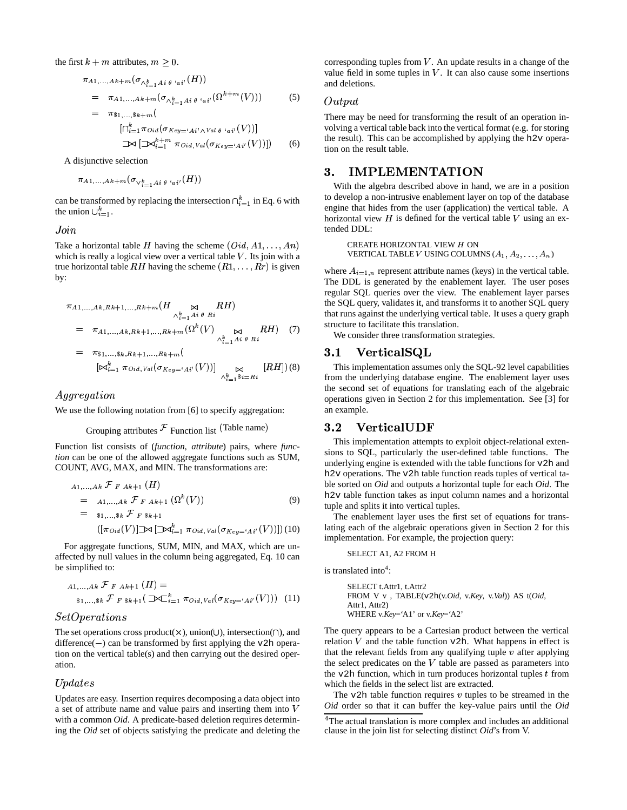the first  $k + m$  attributes,  $m \geq 0$ .

$$
\pi_{A1,...,Ak+m}(\sigma_{\Lambda_{i=1}^k A i \theta \cdot a i'}(H))
$$
\n
$$
= \pi_{A1,...,Ak+m}(\sigma_{\Lambda_{i=1}^k A i \theta \cdot a i'}(\Omega^{k+m}(V)))
$$
\n
$$
= \pi_{1,...,sk+m}(
$$
\n
$$
[\cap_{i=1}^k \pi_{Oid}(\sigma_{Key='Ai'\Lambda Val \theta \cdot a i'}(V))]
$$
\n
$$
\rightarrow \left[\sum_{i=1}^{k+m} \pi_{Oid,Val}(\sigma_{Key='Ai'}(V))]\right]
$$
\n
$$
(6)
$$

A disjunctive selection

$$
\pi_{A1,\, \ldots , Ak+m}(\sigma_{\vee_{i=1}^{k} A i \; \theta^{+} a i'}(H))
$$

can be transformed by replacing the intersection  $\bigcap_{i=1}^k$  in Eq. 6 with the union  $\bigcup_{i=1}^k$ .

## $Join$

Take a horizontal table H having the scheme  $(Did, A1, \ldots, An)$ which is really a logical view over a vertical table  $V$ . Its join with a true horizontal table  $RH$  having the scheme  $(R1, \ldots, Rr)$  is given by:

$$
\pi_{A1,\ldots,Ak,Rk+1,\ldots,Rk+m}(H \underset{\wedge_{i=1}^{k} A_{i} \theta \ R i}{\bowtie} RH)
$$
\n
$$
= \pi_{A1,\ldots,Ak,Rk+1,\ldots,Rk+m}(\Omega^{k}(V) \underset{\wedge_{i=1}^{k} A_{i} \theta \ R i}{\bowtie} RH) \quad (7)
$$
\n
$$
= \pi_{\$1,\ldots,\$k,Rk+1,\ldots,Rk+m}(
$$
\n
$$
[\bowtie_{i=1}^{k} \pi_{0i d,Val}(\sigma_{Kev} = A_{i'}(V))] \bowtie [RH]) (8)
$$

$$
[\mathbb{M}_{i=1}^n \pi_{\text{oid},\text{Val}}(\sigma_{\text{Key}=\text{`Ai}'}(V))] \underset{\wedge_{i=1}^k \$i=Ri}{\bowtie} [RH])(\text{`}
$$

Aggregation

We use the following notation from [6] to specify aggregation:

Grouping attributes 
$$
\mathcal F
$$
 Function list (Table name)

Function list consists of (*function*, *attribute*) pairs, where *function* can be one of the allowed aggregate functions such as SUM, COUNT, AVG, MAX, and MIN. The transformations are:

$$
A_{1,...,A k} \mathcal{F}_{F A k+1} (H)
$$
  
=  $A_{1,...,A k} \mathcal{F}_{F A k+1} (\Omega^{k}(V))$  (9)  
=  $\mathfrak{sl}_{1,..., \mathfrak{sl}} \mathcal{F}_{F \mathfrak{sl}_+ 1}$   

$$
([\pi_{0id}(V)] \mathbb{L} \bowtie [\mathbb{L} \mathfrak{sl}_{i-1}^{k} \pi_{0id, Val}(\sigma_{Kev} = A_{i'}(V))])(10)
$$

For aggregate functions, SUM, MIN, and MAX, which are unaffected by null values in the column being aggregated, Eq. 10 can be simplified to:

$$
A_{1,...,Ak} \mathcal{F}_{F Ak+1} (H) =
$$
  
 
$$
s_{1,...,8k} \mathcal{F}_{F 8k+1} (\mathbb{D} \mathbb{C}_{i=1}^{k} \pi_{0id,Val} (\sigma_{Key='Ai'}(V)))
$$
 (11)

### $SetOperations$

The set operations cross product( $\times$ ), union( $\cup$ ), intersection( $\cap$ ), and difference( $-$ ) can be transformed by first applying the v2h operation on the vertical table(s) and then carrying out the desired operation. <sup>ì</sup>

#### $ndates$

Updates are easy. Insertion requires decomposing a data object into a set of attribute name and value pairs and inserting them into <sup>&</sup>lt; with a common *Oid*. A predicate-based deletion requires determining the *Oid* set of objects satisfying the predicate and deleting the corresponding tuples from  $V$ . An update results in a change of the value field in some tuples in  $V$ . It can also cause some insertions and deletions.

### Output

There may be need for transforming the result of an operation involving a vertical table back into the vertical format (e.g. forstoring the result). This can be accomplished by applying the h2v operation on the result table.

### =4 VMñðóòVòÙô-%

With the algebra described above in hand, we are in a position to develop a non-intrusive enablement layer on top of the database engine that hides from the user (application) the vertical table. A horizontal view  $H$  is defined for the vertical table  $V$  using an extended DDL:

CREATE HORIZONTAL VIEW  $H$  ON VERTICAL TABLE V USING COLUMNS  $(A_1, A_2, \ldots, A_n)$ 

where  $A_{i=1,n}$  represent attribute names (keys) in the vertical table. The DDL is generated by the enablement layer. The user poses regular SQL queries over the view. The enablement layer parses the SQL query, validates it, and transforms it to another SQL query that runs against the underlying vertical table. It uses a query graph structure to facilitate this translation.

We consider three transformation strategies.

# 3.1 VerticalSQL

This implementation assumes only the SQL-92 level capabilities from the underlying database engine. The enablement layer uses the second set of equations for translating each of the algebraic operations given in Section 2 for this implementation. See [3] for an example.

# 3.2 VerticalUDF

This implementation attempts to exploit object-relational extensions to SQL, particularly the user-defined table functions. The underlying engine is extended with the table functions for v2h and h2v operations. The v2h table function reads tuples of vertical table sorted on *Oid* and outputs a horizontal tuple for each *Oid*. The h2v table function takes as input column names and a horizontal tuple and splits it into vertical tuples.

The enablement layer uses the first set of equations for translating each of the algebraic operations given in Section 2 for this implementation. For example, the projection query:

#### SELECT A1, A2 FROM H

is translated into<sup>4</sup>:

```
SELECT t.Attr1, t.Attr2
FROM V v , TABLE(v2h(v.Oid, v.Key, v.Val)) AS t(Oid,
Attr1, Attr2)
WHERE v.Key='A1' or v.Key='A2'
```
The query appears to be a Cartesian product between the vertical relation  $V$  and the table function  $v2h$ . What happens in effect is that the relevant fields from any qualifying tuple  $v$  after applying the select predicates on the  $V$  table are passed as parameters into the v2h function, which in turn produces horizontal tuples  $t$  from which the fields in the select list are extracted.

The  $v2h$  table function requires  $v$  tuples to be streamed in the *Oid* order so that it can buffer the key-value pairs until the *Oid*

<sup>&</sup>lt;sup>4</sup>The actual translation is more complex and includes an additional clause in the join list for selecting distinct *Oid*'s from V.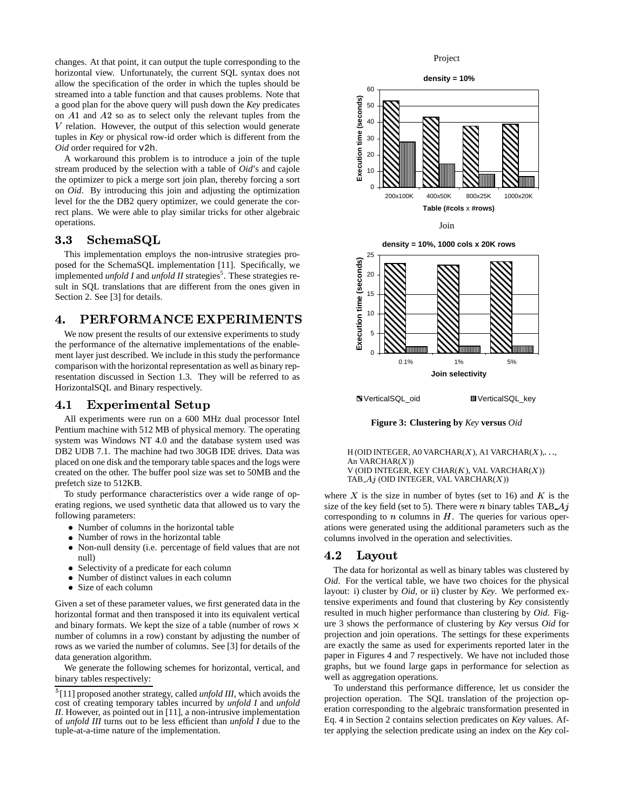changes. At that point, it can output the tuple corresponding to the horizontal view. Unfortunately, the current SQL syntax does not allow the specification of the order in which the tuples should be streamed into a table function and that causes problems. Note that a good plan for the above query will push down the *Key* predicates on  $A1$  and  $A2$  so as to select only the relevant tuples from the  $V$  relation. However, the output of this selection would generate tuples in *Key* or physical row-id order which is different from the *Oid* order required for v2h.

A workaround this problem is to introduce a join of the tuple stream produced by the selection with a table of *Oid*'s and cajole the optimizer to pick a merge sort join plan, thereby forcing a sort on *Oid*. By introducing this join and adjusting the optimization level for the the DB2 query optimizer, we could generate the correct plans. We were able to play similar tricks for other algebraic operations.

# =4>= +FL--1üð

This implementation employs the non-intrusive strategies proposed for the SchemaSQL implementation [11]. Specifically, we implemented *unfold I* and *unfold II* strategies<sup>5</sup>. These strategies result in SQL translations that are different from the ones given in Section 2. See [3] for details.

# C M%ò TU VW-òIòMXò VòÙ

We now present the results of our extensive experiments to study the performance of the alternative implementations of the enablement layer just described. We include in this study the performance comparison with the horizontal representation as well as binary representation discussed in Section 1.3. They will be referred to as HorizontalSQL and Binary respectively.

# 4.1 Experimental Setup

All experiments were run on a 600 MHz dual processor Intel Pentium machine with 512 MB of physical memory. The operating system was Windows NT 4.0 and the database system used was DB2 UDB 7.1. The machine had two 30GB IDE drives. Data was placed on one disk and the temporary table spaces and the logs were created on the other. The buffer pool size was set to 50MB and the prefetch size to 512KB.

To study performance characteristics over a wide range of operating regions, we used synthetic data that allowed us to vary the following parameters:

- ! Number of columns in the horizontal table
- ! Number of rows in the horizontal table
- ! Non-null density (i.e. percentage of field values that are not null)
- ! Selectivity of a predicate for each column
- ! Number of distinct values in each column
- ! Size of each column

Given a set of these parameter values, we first generated data in the horizontal format and then transposed it into its equivalent vertical and binary formats. We kept the size of a table (number of rows  $\times$ number of columns in a row) constant by adjusting the number of rows as we varied the number of columns. See [3] for details of the data generation algorithm.

We generate the following schemes for horizontal, vertical, and binary tables respectively:



**Figure 3: Clustering by** *Key* **versus** *Oid*

H (OID INTEGER, A0 VARCHAR $(X)$ , A1 VARCHAR $(X)$ , ..., An VARCHAR $(X)$ ) V (OID INTEGER, KEY CHAR $(K)$ , VAL VARCHAR $(X)$ ) TAB  $A_j$  (OID INTEGER, VAL VARCHAR $(X)$ )

where  $X$  is the size in number of bytes (set to 16) and  $K$  is the size of the key field (set to 5). There were *n* binary tables TAB\_ $Aj$ corresponding to  $n$  columns in  $H$ . The queries for various operations were generated using the additional parameters such as the columns involved in the operation and selectivities.

# 4.2 Layout

The data for horizontal as well as binary tables was clustered by *Oid*. For the vertical table, we have two choices for the physical layout: i) cluster by *Oid*, or ii) cluster by *Key*. We performed extensive experiments and found that clustering by *Key* consistently resulted in much higher performance than clustering by *Oid*. Figure 3 shows the performance of clustering by *Key* versus *Oid* for projection and join operations. The settings for these experiments are exactly the same as used for experiments reported later in the paper in Figures 4 and 7 respectively. We have not included those graphs, but we found large gaps in performance for selection as well as aggregation operations.

To understand this performance difference, let us consider the projection operation. The SQL translation of the projection operation corresponding to the algebraic transformation presented in Eq. 4 in Section 2 contains selection predicates on *Key* values. After applying the selection predicate using an index on the *Key* col-

<sup>&</sup>lt;sup>5</sup>[11] proposed another strategy, called *unfold III*, which avoids the cost of creating temporary tables incurred by *unfold I* and *unfold II*. However, as pointed out in [11], a non-intrusive implementation of *unfold III* turns out to be less efficient than *unfold I* due to the tuple-at-a-time nature of the implementation.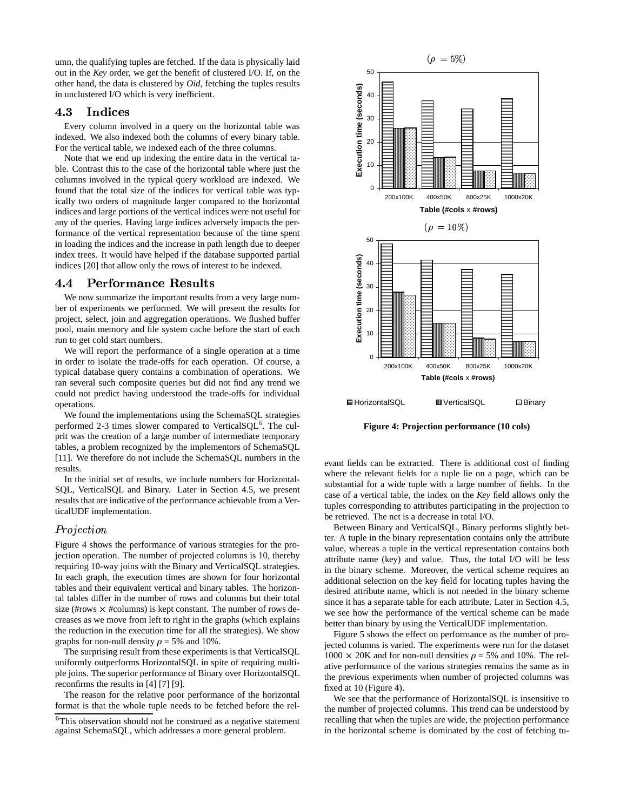umn, the qualifying tuples are fetched. If the data is physically laid out in the *Key* order, we get the benefit of clustered I/O. If, on the other hand, the data is clustered by *Oid*, fetching the tuples results in unclustered I/O which is very inefficient.

### 4.3 Indices

Every column involved in a query on the horizontal table was indexed. We also indexed both the columns of every binary table. For the vertical table, we indexed each of the three columns.

Note that we end up indexing the entire data in the vertical table. Contrast this to the case of the horizontal table where just the columns involved in the typical query workload are indexed. We found that the total size of the indices for vertical table was typically two orders of magnitude larger compared to the horizontal indices and large portions of the vertical indices were not useful for any of the queries. Having large indices adversely impacts the performance of the vertical representation because of the time spent in loading the indices and the increase in path length due to deeper index trees. It would have helped if the database supported partial indices [20] that allow only the rows of interest to be indexed.

# 4.4 Performance Results

We now summarize the important results from a very large number of experiments we performed. We will present the results for project, select, join and aggregation operations. We flushed buffer pool, main memory and file system cache before the start of each run to get cold start numbers.

We will report the performance of a single operation at a time in order to isolate the trade-offs for each operation. Of course, a typical database query contains a combination of operations. We ran several such composite queries but did not find any trend we could not predict having understood the trade-offs for individual operations.

We found the implementations using the SchemaSQL strategies performed 2-3 times slower compared to VerticalSQL<sup>6</sup>. The culprit was the creation of a large number of intermediate temporary tables, a problem recognized by the implementors of SchemaSQL [11]. We therefore do not include the SchemaSQL numbers in the results.

In the initial set of results, we include numbers for Horizontal-SQL, VerticalSQL and Binary. Later in Section 4.5, we present results that are indicative of the performance achievable from a VerticalUDF implementation.

### $Projection$

Figure 4 shows the performance of various strategies for the projection operation. The number of projected columns is 10, thereby requiring 10-way joins with the Binary and VerticalSQL strategies. In each graph, the execution times are shown for four horizontal tables and their equivalent vertical and binary tables. The horizontal tables differ in the number of rows and columns but their total size (#rows  $\times$  #columns) is kept constant. The number of rows decreases as we move from left to right in the graphs (which explains the reduction in the execution time for all the strategies). We show graphs for non-null density  $\rho = 5\%$  and 10%.

The surprising result from these experiments is that VerticalSQL uniformly outperforms HorizontalSQL in spite of requiring multiple joins. The superior performance of Binary over HorizontalSQL reconfirms the results in [4] [7] [9].

The reason for the relative poor performance of the horizontal format is that the whole tuple needs to be fetched before the rel-



**Figure 4: Projection performance (10 cols)**

evant fields can be extracted. There is additional cost of finding where the relevant fields for a tuple lie on a page, which can be substantial for a wide tuple with a large number of fields. In the case of a vertical table, the index on the *Key* field allows only the tuples corresponding to attributes participating in the projection to be retrieved. The net is a decrease in total I/O.

Between Binary and VerticalSQL, Binary performs slightly better. A tuple in the binary representation contains only the attribute value, whereas a tuple in the vertical representation contains both attribute name (key) and value. Thus, the total I/O will be less in the binary scheme. Moreover, the vertical scheme requires an additional selection on the key field for locating tuples having the desired attribute name, which is not needed in the binary scheme since it has a separate table for each attribute. Later in Section 4.5, we see how the performance of the vertical scheme can be made better than binary by using the VerticalUDF implementation.

Figure 5 shows the effect on performance as the number of projected columns is varied. The experiments were run for the dataset  $1000 \times 20$ K and for non-null densities  $\rho = 5%$  and 10%. The relative performance of the various strategies remains the same as in the previous experiments when number of projected columns was fixed at 10 (Figure 4).

We see that the performance of HorizontalSQL is insensitive to the number of projected columns. This trend can be understood by recalling that when the tuples are wide, the projection performance in the horizontal scheme is dominated by the cost of fetching tu-

 $6$ This observation should not be construed as a negative statement against SchemaSQL, which addresses a more general problem.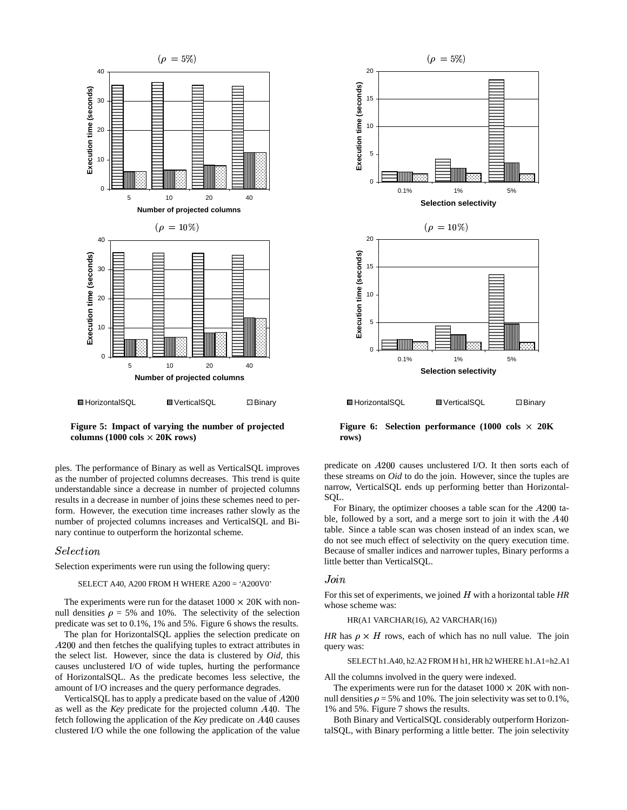

**Figure 5: Impact of varying the number of projected**  $\text{columns}$  (1000  $\text{cols} \times 20\text{K}$  rows)

ples. The performance of Binary as well as VerticalSQL improves as the number of projected columns decreases. This trend is quite understandable since a decrease in number of projected columns results in a decrease in number of joins these schemes need to perform. However, the execution time increases rather slowly as the number of projected columns increases and VerticalSQL and Binary continue to outperform the horizontal scheme.

#### $Selection$

Selection experiments were run using the following query:

#### SELECT A40, A200 FROM H WHERE A200 = 'A200V0'

The experiments were run for the dataset  $1000 \times 20K$  with nonnull densities  $\rho = 5\%$  and 10%. The selectivity of the selection predicate was set to 0.1%, 1% and 5%. Figure 6 shows the results.

The plan for HorizontalSQL applies the selection predicate on  $A200$  and then fetches the qualifying tuples to extract attributes in the select list. However, since the data is clustered by *Oid*, this causes unclustered I/O of wide tuples, hurting the performance of HorizontalSQL. As the predicate becomes less selective, the amount of I/O increases and the query performance degrades.

Vertical SQL has to apply a predicate based on the value of  $A200$ as well as the *Key* predicate for the projected column A40. The fetch following the application of the *Key* predicate on A40 causes clustered I/O while the one following the application of the value



**Figure** 6: **Selection performance**  $(1000 \text{ obs} \times 20\text{K})$ **rows)**

predicate on  $A200$  causes unclustered I/O. It then sorts each of these streams on *Oid* to do the join. However, since the tuples are narrow, VerticalSQL ends up performing better than Horizontal-SOL.

For Binary, the optimizer chooses a table scan for the  $A200$  table, followed by a sort, and a merge sort to join it with the  $A40$ table. Since a table scan was chosen instead of an index scan, we do not see much effect of selectivity on the query execution time. Because of smaller indices and narrower tuples, Binary performs a little better than VerticalSQL.

### $Join$

For this set of experiments, we joined H with a horizontal table HR whose scheme was:

HR(A1 VARCHAR(16), A2 VARCHAR(16))

*HR* has  $\rho \times H$  rows, each of which has no null value. The join query was:

SELECT h1.A40, h2.A2 FROM H h1, HR h2 WHERE h1.A1=h2.A1

All the columns involved in the query were indexed.

The experiments were run for the dataset  $1000 \times 20K$  with nonnull densities  $\rho = 5\%$  and 10%. The join selectivity was set to 0.1%, 1% and 5%. Figure 7 shows the results.

Both Binary and VerticalSQL considerably outperform HorizontalSQL, with Binary performing a little better. The join selectivity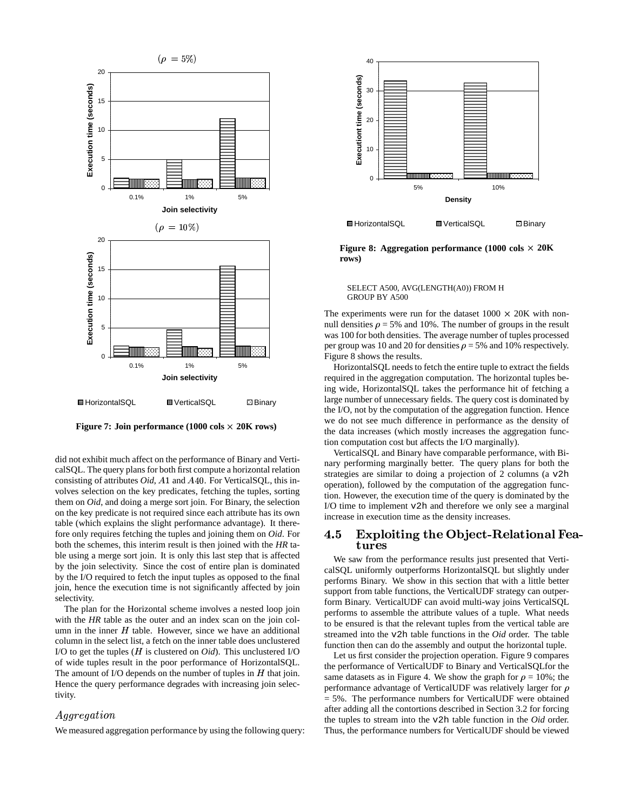

**Figure** 7: **Join performance**  $(1000 \text{ coils} \times 20 \text{K} \text{ rows})$ 

did not exhibit much affect on the performance of Binary and VerticalSQL. The query plans for both first compute a horizontal relation consisting of attributes *Oid*, *A*1 and *A*40. For VerticalSQL, this involves selection on the key predicates, fetching the tuples, sorting them on *Oid*, and doing a merge sort join. For Binary, the selection on the key predicate is not required since each attribute has its own table (which explains the slight performance advantage). It therefore only requires fetching the tuples and joining them on *Oid*. For both the schemes, this interim result is then joined with the *HR* table using a merge sort join. It is only this last step that is affected by the join selectivity. Since the cost of entire plan is dominated by the I/O required to fetch the input tuples as opposed to the final join, hence the execution time is not significantly affected by join selectivity.

The plan for the Horizontal scheme involves a nested loop join with the *HR* table as the outer and an index scan on the join column in the inner  $H$  table. However, since we have an additional column in the select list, a fetch on the inner table does unclustered I/O to get the tuples  $(H$  is clustered on  $Oid$ . This unclustered I/O of wide tuples result in the poor performance of HorizontalSQL. The amount of I/O depends on the number of tuples in  $H$  that join. Hence the query performance degrades with increasing join selectivity.

### Aggregation

We measured aggregation performance by using the following query:



**目HorizontalSQL III** VerticalSQL 回Binary

**Figure 8:** Aggregation performance  $(1000 \text{ obs} \times 20\text{K})$ **rows)**

#### SELECT A500, AVG(LENGTH(A0)) FROM H GROUP BY A500

The experiments were run for the dataset  $1000 \times 20K$  with nonnull densities  $\rho = 5\%$  and 10%. The number of groups in the result was 100 for both densities. The average number of tuples processed per group was 10 and 20 for densities  $\rho = 5%$  and 10% respectively. Figure 8 shows the results.

HorizontalSQL needs to fetch the entire tuple to extract the fields required in the aggregation computation. The horizontal tuples being wide, HorizontalSQL takes the performance hit of fetching a large number of unnecessary fields. The query cost is dominated by the I/O, not by the computation of the aggregation function. Hence we do not see much difference in performance as the density of the data increases (which mostly increases the aggregation function computation cost but affects the I/O marginally).

VerticalSQL and Binary have comparable performance, with Binary performing marginally better. The query plans for both the strategies are similar to doing a projection of 2 columns (a v2h operation), followed by the computation of the aggregation function. However, the execution time of the query is dominated by the I/O time to implement v2h and therefore we only see a marginal increase in execution time as the density increases.

#### C! ò¶0/#78\*²()\*3@E ()L Y#"2+(%\$ /,-6()\*#783-/ T --\$  $\sim$  2022  $\sim$  2022  $\sim$  2022  $\sim$  2022  $\sim$  2022  $\sim$  2022  $\sim$  2022  $\sim$  2022  $\sim$  2022  $\sim$  2022  $\sim$  2022  $\sim$  2022  $\sim$  2022  $\sim$  2022  $\sim$  2022  $\sim$  2022  $\sim$  2022  $\sim$  2022  $\sim$  2022  $\sim$  2022  $\sim$  2022  $\sim$  2022 tures

We saw from the performance results just presented that VerticalSQL uniformly outperforms HorizontalSQL but slightly under performs Binary. We show in this section that with a little better support from table functions, the VerticalUDF strategy can outperform Binary. VerticalUDF can avoid multi-way joins VerticalSQL performs to assemble the attribute values of a tuple. What needs to be ensured is that the relevant tuples from the vertical table are streamed into the v2h table functions in the *Oid* order. The table function then can do the assembly and output the horizontal tuple.

Let us first consider the projection operation. Figure 9 compares the performance of VerticalUDF to Binary and VerticalSQLfor the same datasets as in Figure 4. We show the graph for  $\rho = 10\%$ ; the performance advantage of VerticalUDF was relatively larger for  $\rho$ = 5%. The performance numbers for VerticalUDF were obtained after adding all the contortions described in Section 3.2 for forcing the tuples to stream into the v2h table function in the *Oid* order. Thus, the performance numbers for VerticalUDF should be viewed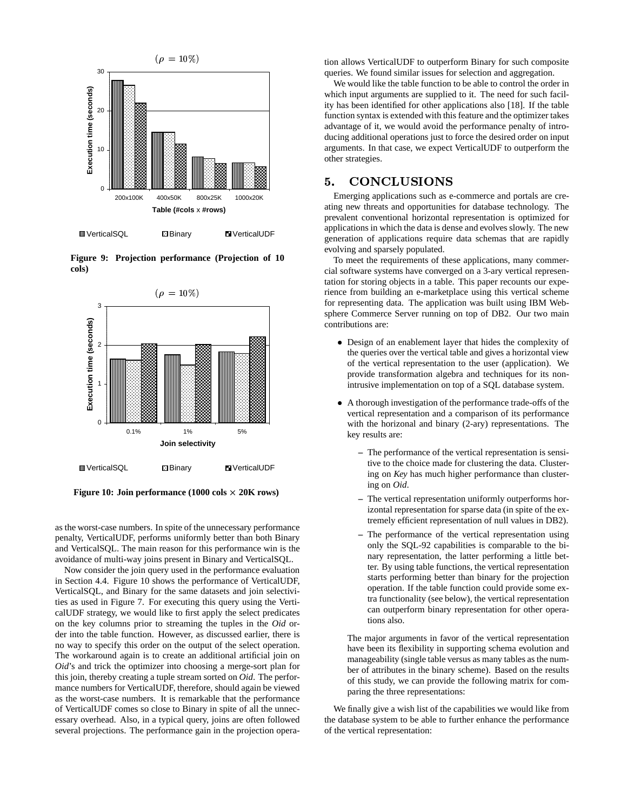

**III** VerticalSQL **Binary** BII VerticalUDF

**Figure 9: Projection performance (Projection of 10 cols)**



**Figure** 10: **Join** performance  $(1000 \text{ obs} \times 20 \text{K} \text{ rows})$ 

as the worst-case numbers. In spite of the unnecessary performance penalty, VerticalUDF, performs uniformly better than both Binary and VerticalSQL. The main reason for this performance win is the avoidance of multi-way joins present in Binary and VerticalSQL.

Now consider the join query used in the performance evaluation in Section 4.4. Figure 10 shows the performance of VerticalUDF, VerticalSQL, and Binary for the same datasets and join selectivities as used in Figure 7. For executing this query using the VerticalUDF strategy, we would like to first apply the select predicates on the key columns prior to streaming the tuples in the *Oid* order into the table function. However, as discussed earlier, there is no way to specify this order on the output of the select operation. The workaround again is to create an additional artificial join on *Oid*'s and trick the optimizer into choosing a merge-sort plan for this join, thereby creating a tuple stream sorted on *Oid*. The performance numbers for VerticalUDF, therefore, should again be viewed as the worst-case numbers. It is remarkable that the performance of VerticalUDF comes so close to Binary in spite of all the unnecessary overhead. Also, in a typical query, joins are often followed several projections. The performance gain in the projection operation allows VerticalUDF to outperform Binary for such composite queries. We found similar issues for selection and aggregation.

We would like the table function to be able to control the order in which input arguments are supplied to it. The need for such facility has been identified for other applications also [18]. If the table function syntax is extended with this feature and the optimizer takes advantage of it, we would avoid the performance penalty of introducing additional operations just to force the desired order on input arguments. In that case, we expect VerticalUDF to outperform the other strategies.

# 5. CONCLUSIONS

Emerging applications such as e-commerce and portals are creating new threats and opportunities for database technology. The prevalent conventional horizontal representation is optimized for applications in which the data is dense and evolves slowly. The new generation of applications require data schemas that are rapidly evolving and sparsely populated.

To meet the requirements of these applications, many commercial software systems have converged on a 3-ary vertical representation for storing objects in a table. This paper recounts our experience from building an e-marketplace using this vertical scheme for representing data. The application was built using IBM Websphere Commerce Server running on top of DB2. Our two main contributions are:

- ! Design of an enablement layer that hides the complexity of the queries over the vertical table and gives a horizontal view of the vertical representation to the user (application). We provide transformation algebra and techniques for its nonintrusive implementation on top of a SQL database system.
- ! A thorough investigation of the performance trade-offs of the vertical representation and a comparison of its performance with the horizonal and binary (2-ary) representations. The key results are:
	- **–** The performance of the vertical representation is sensitive to the choice made for clustering the data. Clustering on *Key* has much higher performance than clustering on *Oid*.
	- **–** The vertical representation uniformly outperforms horizontal representation for sparse data (in spite of the extremely efficient representation of null values in DB2).
	- **–** The performance of the vertical representation using only the SQL-92 capabilities is comparable to the binary representation, the latter performing a little better. By using table functions, the vertical representation starts performing better than binary for the projection operation. If the table function could provide some extra functionality (see below), the vertical representation can outperform binary representation for other operations also.

The major arguments in favor of the vertical representation have been its flexibility in supporting schema evolution and manageability (single table versus as many tables as the number of attributes in the binary scheme). Based on the results of this study, we can provide the following matrix for comparing the three representations:

We finally give a wish list of the capabilities we would like from the database system to be able to further enhance the performance of the vertical representation: